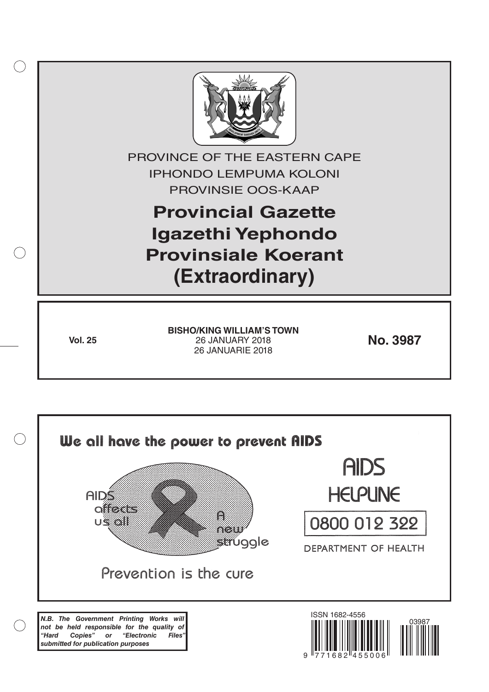

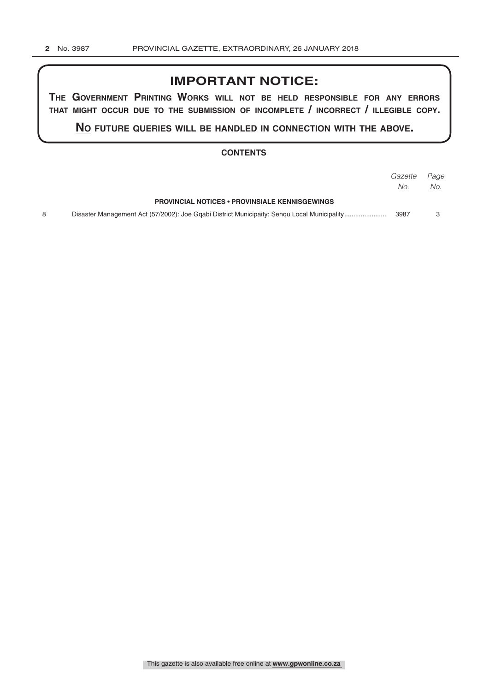## **IMPORTANT NOTICE:**

**The GovernmenT PrinTinG Works Will noT be held resPonsible for any errors ThaT miGhT occur due To The submission of incomPleTe / incorrecT / illeGible coPy.**

**no fuTure queries Will be handled in connecTion WiTh The above.**

#### **CONTENTS**

|                                                                                             | Gazette | Page |
|---------------------------------------------------------------------------------------------|---------|------|
|                                                                                             | No.     | No.  |
| <b>PROVINCIAL NOTICES • PROVINSIALE KENNISGEWINGS</b>                                       |         |      |
| Disaster Management Act (57/2002): Joe Ggabi District Municipaity: Sengu Local Municipality | 3987    |      |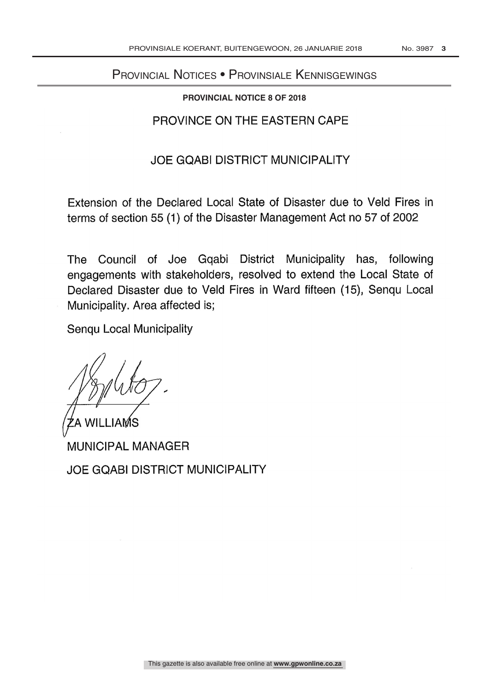# PROVINCIAL NOTICE Provincial Notices • Provinsiale Kennisgewings

### **PROVINCIAL NOTICE 8 OF 2018**

## PROVINCE ON THE EASTERN CAPE

## JOE GQABI DISTRICT MUNICIPALITY

Extension of the Declared Local State of Disaster due to Veld Fires in terms of section 55 (1) of the Disaster Management Act no 57 of 2002

The Council of Joe Gqabi District Municipality has, following engagements with stakeholders, resolved to extend the Local State of Declared Disaster due to Veld Fires in Ward fifteen (15), Senqu Local Municipality. Area affected is;

Senqu Local Municipality

 $\mathcal{C}$ 

A WILLIAMS . SAN IT IN THE SAN SEARCH THAT IT IS A STRIKE THAT A STRIKE IT IS SAN IT IS A STRIKE THAT IT IS A MUNICIPAL MANAGER

JOE GQABI DISTRICT MUNICIPALITY